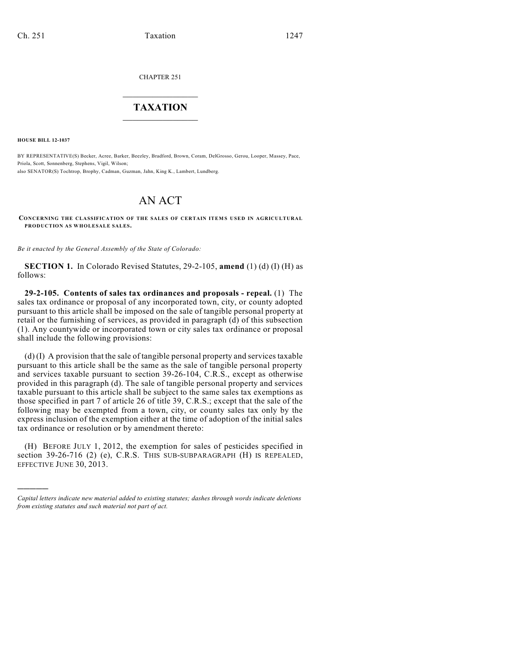CHAPTER 251

## $\mathcal{L}_\text{max}$  . The set of the set of the set of the set of the set of the set of the set of the set of the set of the set of the set of the set of the set of the set of the set of the set of the set of the set of the set **TAXATION**  $\_$

**HOUSE BILL 12-1037**

)))))

BY REPRESENTATIVE(S) Becker, Acree, Barker, Beezley, Bradford, Brown, Coram, DelGrosso, Gerou, Looper, Massey, Pace, Priola, Scott, Sonnenberg, Stephens, Vigil, Wilson; also SENATOR(S) Tochtrop, Brophy, Cadman, Guzman, Jahn, King K., Lambert, Lundberg.

## AN ACT

**CONCERNING THE CLASSIFICATION OF THE SALES OF CERTAIN ITEM S USED IN AGRICULTURAL PRODUCTION AS WHOLESALE SALES.**

*Be it enacted by the General Assembly of the State of Colorado:*

**SECTION 1.** In Colorado Revised Statutes, 29-2-105, **amend** (1) (d) (I) (H) as follows:

**29-2-105. Contents of sales tax ordinances and proposals - repeal.** (1) The sales tax ordinance or proposal of any incorporated town, city, or county adopted pursuant to this article shall be imposed on the sale of tangible personal property at retail or the furnishing of services, as provided in paragraph (d) of this subsection (1). Any countywide or incorporated town or city sales tax ordinance or proposal shall include the following provisions:

(d) (I) A provision that the sale of tangible personal property and services taxable pursuant to this article shall be the same as the sale of tangible personal property and services taxable pursuant to section 39-26-104, C.R.S., except as otherwise provided in this paragraph (d). The sale of tangible personal property and services taxable pursuant to this article shall be subject to the same sales tax exemptions as those specified in part 7 of article 26 of title 39, C.R.S.; except that the sale of the following may be exempted from a town, city, or county sales tax only by the express inclusion of the exemption either at the time of adoption of the initial sales tax ordinance or resolution or by amendment thereto:

(H) BEFORE JULY 1, 2012, the exemption for sales of pesticides specified in section 39-26-716 (2) (e), C.R.S. THIS SUB-SUBPARAGRAPH (H) IS REPEALED, EFFECTIVE JUNE 30, 2013.

*Capital letters indicate new material added to existing statutes; dashes through words indicate deletions from existing statutes and such material not part of act.*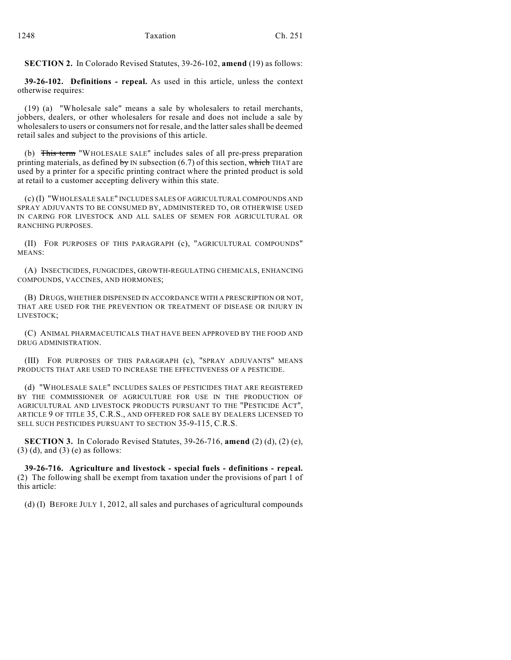**SECTION 2.** In Colorado Revised Statutes, 39-26-102, **amend** (19) as follows:

**39-26-102. Definitions - repeal.** As used in this article, unless the context otherwise requires:

(19) (a) "Wholesale sale" means a sale by wholesalers to retail merchants, jobbers, dealers, or other wholesalers for resale and does not include a sale by wholesalers to users or consumers not for resale, and the lattersalesshall be deemed retail sales and subject to the provisions of this article.

(b) This term "WHOLESALE SALE" includes sales of all pre-press preparation printing materials, as defined by IN subsection  $(6.7)$  of this section, which THAT are used by a printer for a specific printing contract where the printed product is sold at retail to a customer accepting delivery within this state.

(c) (I) "WHOLESALE SALE" INCLUDES SALES OF AGRICULTURAL COMPOUNDS AND SPRAY ADJUVANTS TO BE CONSUMED BY, ADMINISTERED TO, OR OTHERWISE USED IN CARING FOR LIVESTOCK AND ALL SALES OF SEMEN FOR AGRICULTURAL OR RANCHING PURPOSES.

(II) FOR PURPOSES OF THIS PARAGRAPH (c), "AGRICULTURAL COMPOUNDS" MEANS:

(A) INSECTICIDES, FUNGICIDES, GROWTH-REGULATING CHEMICALS, ENHANCING COMPOUNDS, VACCINES, AND HORMONES;

(B) DRUGS, WHETHER DISPENSED IN ACCORDANCE WITH A PRESCRIPTION OR NOT, THAT ARE USED FOR THE PREVENTION OR TREATMENT OF DISEASE OR INJURY IN LIVESTOCK;

(C) ANIMAL PHARMACEUTICALS THAT HAVE BEEN APPROVED BY THE FOOD AND DRUG ADMINISTRATION.

(III) FOR PURPOSES OF THIS PARAGRAPH (c), "SPRAY ADJUVANTS" MEANS PRODUCTS THAT ARE USED TO INCREASE THE EFFECTIVENESS OF A PESTICIDE.

(d) "WHOLESALE SALE" INCLUDES SALES OF PESTICIDES THAT ARE REGISTERED BY THE COMMISSIONER OF AGRICULTURE FOR USE IN THE PRODUCTION OF AGRICULTURAL AND LIVESTOCK PRODUCTS PURSUANT TO THE "PESTICIDE ACT", ARTICLE 9 OF TITLE 35, C.R.S., AND OFFERED FOR SALE BY DEALERS LICENSED TO SELL SUCH PESTICIDES PURSUANT TO SECTION 35-9-115, C.R.S.

**SECTION 3.** In Colorado Revised Statutes, 39-26-716, **amend** (2) (d), (2) (e), (3) (d), and (3) (e) as follows:

**39-26-716. Agriculture and livestock - special fuels - definitions - repeal.** (2) The following shall be exempt from taxation under the provisions of part 1 of this article:

(d) (I) BEFORE JULY 1, 2012, all sales and purchases of agricultural compounds